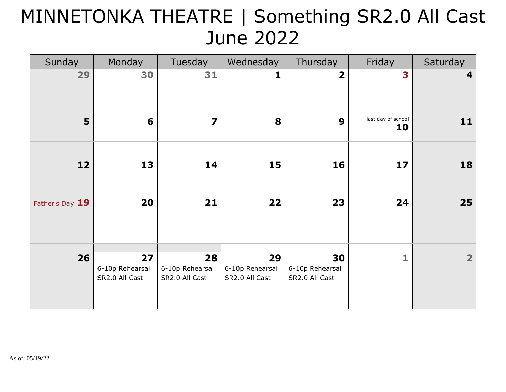## MINNETONKA THEATRE | Something SR2.0 All Cast June 2022

| Sunday          | Monday          | Tuesday                 | Wednesday       | Thursday                | Friday             | Saturday                |
|-----------------|-----------------|-------------------------|-----------------|-------------------------|--------------------|-------------------------|
| 29              | 30              | 31                      | 1               | $\overline{\mathbf{2}}$ | 3                  | 4                       |
|                 |                 |                         |                 |                         |                    |                         |
|                 |                 |                         |                 |                         |                    |                         |
|                 |                 |                         |                 |                         | last day of school |                         |
| 5               | 6               | $\overline{\mathbf{z}}$ | 8               | 9                       | 10                 | 11                      |
|                 |                 |                         |                 |                         |                    |                         |
|                 |                 |                         |                 |                         |                    |                         |
| 12              | 13              | 14                      | 15              | 16                      | 17                 | 18                      |
|                 |                 |                         |                 |                         |                    |                         |
|                 |                 |                         |                 |                         |                    |                         |
| Father's Day 19 | 20              | 21                      | 22              | 23                      | 24                 | 25                      |
|                 |                 |                         |                 |                         |                    |                         |
|                 |                 |                         |                 |                         |                    |                         |
|                 |                 |                         |                 |                         |                    |                         |
| 26              | 27              | 28                      | 29              | 30                      | 1                  | $\overline{\mathbf{2}}$ |
|                 | 6-10p Rehearsal | 6-10p Rehearsal         | 6-10p Rehearsal | 6-10p Rehearsal         |                    |                         |
|                 | SR2.0 All Cast  | SR2.0 All Cast          | SR2.0 All Cast  | SR2.0 All Cast          |                    |                         |
|                 |                 |                         |                 |                         |                    |                         |
|                 |                 |                         |                 |                         |                    |                         |
|                 |                 |                         |                 |                         |                    |                         |